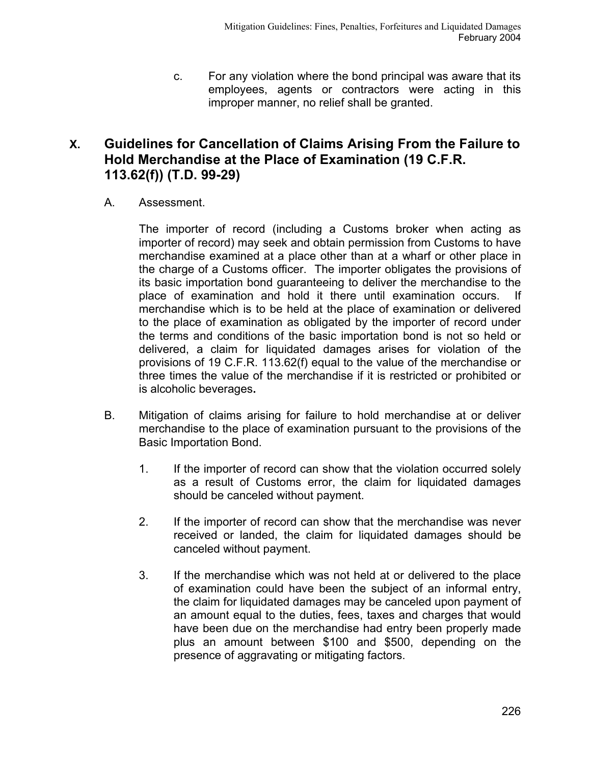c. For any violation where the bond principal was aware that its employees, agents or contractors were acting in this improper manner, no relief shall be granted.

## **X. Guidelines for Cancellation of Claims Arising From the Failure to Hold Merchandise at the Place of Examination (19 C.F.R. 113.62(f)) (T.D. 99-29)**

A. Assessment.

The importer of record (including a Customs broker when acting as importer of record) may seek and obtain permission from Customs to have merchandise examined at a place other than at a wharf or other place in the charge of a Customs officer. The importer obligates the provisions of its basic importation bond guaranteeing to deliver the merchandise to the place of examination and hold it there until examination occurs. If merchandise which is to be held at the place of examination or delivered to the place of examination as obligated by the importer of record under the terms and conditions of the basic importation bond is not so held or delivered, a claim for liquidated damages arises for violation of the provisions of 19 C.F.R. 113.62(f) equal to the value of the merchandise or three times the value of the merchandise if it is restricted or prohibited or is alcoholic beverages**.**

- B. Mitigation of claims arising for failure to hold merchandise at or deliver merchandise to the place of examination pursuant to the provisions of the Basic Importation Bond.
	- 1. If the importer of record can show that the violation occurred solely as a result of Customs error, the claim for liquidated damages should be canceled without payment.
	- 2. If the importer of record can show that the merchandise was never received or landed, the claim for liquidated damages should be canceled without payment.
	- 3. If the merchandise which was not held at or delivered to the place of examination could have been the subject of an informal entry, the claim for liquidated damages may be canceled upon payment of an amount equal to the duties, fees, taxes and charges that would have been due on the merchandise had entry been properly made plus an amount between \$100 and \$500, depending on the presence of aggravating or mitigating factors.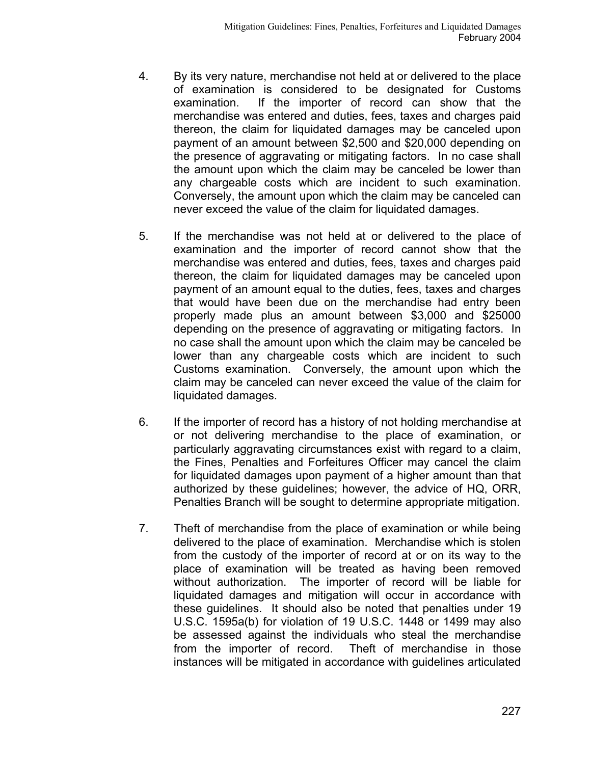- 4. By its very nature, merchandise not held at or delivered to the place of examination is considered to be designated for Customs examination. If the importer of record can show that the merchandise was entered and duties, fees, taxes and charges paid thereon, the claim for liquidated damages may be canceled upon payment of an amount between \$2,500 and \$20,000 depending on the presence of aggravating or mitigating factors. In no case shall the amount upon which the claim may be canceled be lower than any chargeable costs which are incident to such examination. Conversely, the amount upon which the claim may be canceled can never exceed the value of the claim for liquidated damages.
- 5. If the merchandise was not held at or delivered to the place of examination and the importer of record cannot show that the merchandise was entered and duties, fees, taxes and charges paid thereon, the claim for liquidated damages may be canceled upon payment of an amount equal to the duties, fees, taxes and charges that would have been due on the merchandise had entry been properly made plus an amount between \$3,000 and \$25000 depending on the presence of aggravating or mitigating factors. In no case shall the amount upon which the claim may be canceled be lower than any chargeable costs which are incident to such Customs examination. Conversely, the amount upon which the claim may be canceled can never exceed the value of the claim for liquidated damages.
- 6. If the importer of record has a history of not holding merchandise at or not delivering merchandise to the place of examination, or particularly aggravating circumstances exist with regard to a claim, the Fines, Penalties and Forfeitures Officer may cancel the claim for liquidated damages upon payment of a higher amount than that authorized by these guidelines; however, the advice of HQ, ORR, Penalties Branch will be sought to determine appropriate mitigation.
- 7. Theft of merchandise from the place of examination or while being delivered to the place of examination. Merchandise which is stolen from the custody of the importer of record at or on its way to the place of examination will be treated as having been removed without authorization. The importer of record will be liable for liquidated damages and mitigation will occur in accordance with these guidelines. It should also be noted that penalties under 19 U.S.C. 1595a(b) for violation of 19 U.S.C. 1448 or 1499 may also be assessed against the individuals who steal the merchandise from the importer of record. Theft of merchandise in those instances will be mitigated in accordance with guidelines articulated